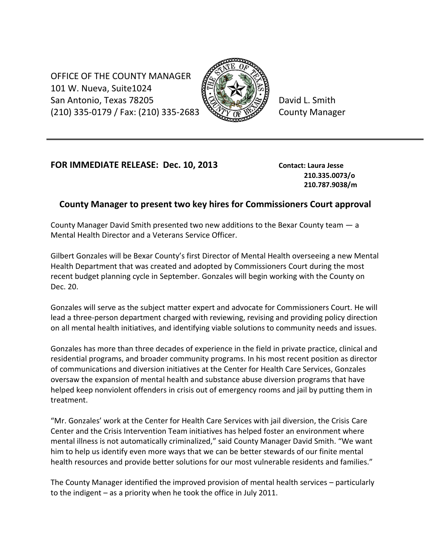OFFICE OF THE COUNTY MANAGER 101 W. Nueva, Suite1024 San Antonio, Texas 78205 **Box 2014** David L. Smith  $(210)$  335-0179 / Fax: (210) 335-2683  $\sqrt{\sqrt[3]{Y}}$   $\sqrt[3]{Y}$  County Manager



## **FOR IMMEDIATE RELEASE: Dec. 10, 2013 Contact: Laura Jesse**

**210.335.0073/o 210.787.9038/m**

## **County Manager to present two key hires for Commissioners Court approval**

County Manager David Smith presented two new additions to the Bexar County team — a Mental Health Director and a Veterans Service Officer.

Gilbert Gonzales will be Bexar County's first Director of Mental Health overseeing a new Mental Health Department that was created and adopted by Commissioners Court during the most recent budget planning cycle in September. Gonzales will begin working with the County on Dec. 20.

Gonzales will serve as the subject matter expert and advocate for Commissioners Court. He will lead a three-person department charged with reviewing, revising and providing policy direction on all mental health initiatives, and identifying viable solutions to community needs and issues.

Gonzales has more than three decades of experience in the field in private practice, clinical and residential programs, and broader community programs. In his most recent position as director of communications and diversion initiatives at the Center for Health Care Services, Gonzales oversaw the expansion of mental health and substance abuse diversion programs that have helped keep nonviolent offenders in crisis out of emergency rooms and jail by putting them in treatment.

"Mr. Gonzales' work at the Center for Health Care Services with jail diversion, the Crisis Care Center and the Crisis Intervention Team initiatives has helped foster an environment where mental illness is not automatically criminalized," said County Manager David Smith. "We want him to help us identify even more ways that we can be better stewards of our finite mental health resources and provide better solutions for our most vulnerable residents and families."

The County Manager identified the improved provision of mental health services – particularly to the indigent – as a priority when he took the office in July 2011.